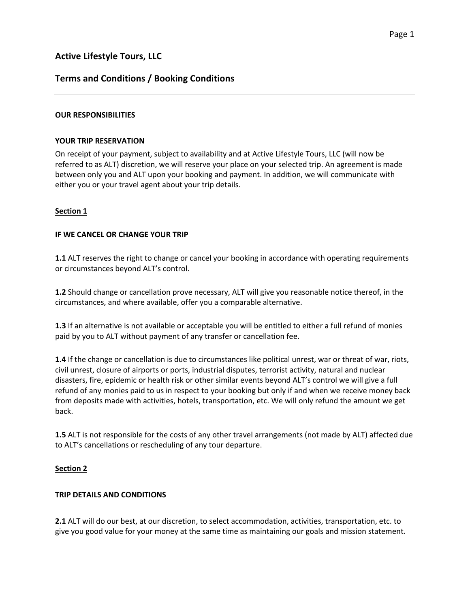# **Terms and Conditions / Booking Conditions**

## **OUR RESPONSIBILITIES**

### **YOUR TRIP RESERVATION**

On receipt of your payment, subject to availability and at Active Lifestyle Tours, LLC (will now be referred to as ALT) discretion, we will reserve your place on your selected trip. An agreement is made between only you and ALT upon your booking and payment. In addition, we will communicate with either you or your travel agent about your trip details.

## **Section 1**

## **IF WE CANCEL OR CHANGE YOUR TRIP**

**1.1** ALT reserves the right to change or cancel your booking in accordance with operating requirements or circumstances beyond ALT's control.

**1.2** Should change or cancellation prove necessary, ALT will give you reasonable notice thereof, in the circumstances, and where available, offer you a comparable alternative.

**1.3** If an alternative is not available or acceptable you will be entitled to either a full refund of monies paid by you to ALT without payment of any transfer or cancellation fee.

**1.4** If the change or cancellation is due to circumstances like political unrest, war or threat of war, riots, civil unrest, closure of airports or ports, industrial disputes, terrorist activity, natural and nuclear disasters, fire, epidemic or health risk or other similar events beyond ALT's control we will give a full refund of any monies paid to us in respect to your booking but only if and when we receive money back from deposits made with activities, hotels, transportation, etc. We will only refund the amount we get back.

**1.5** ALT is not responsible for the costs of any other travel arrangements (not made by ALT) affected due to ALT's cancellations or rescheduling of any tour departure.

# **Section 2**

### **TRIP DETAILS AND CONDITIONS**

**2.1** ALT will do our best, at our discretion, to select accommodation, activities, transportation, etc. to give you good value for your money at the same time as maintaining our goals and mission statement.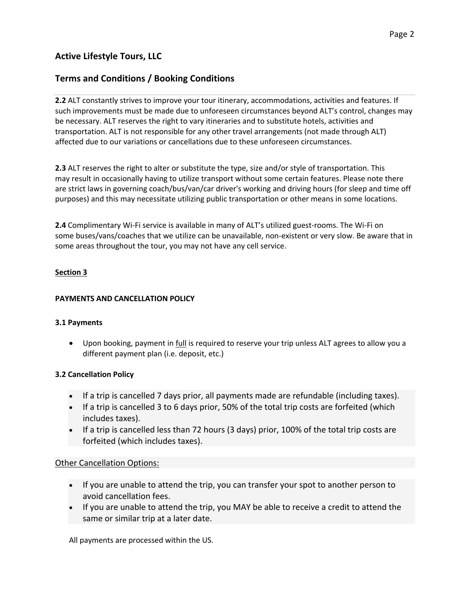# **Terms and Conditions / Booking Conditions**

**2.2** ALT constantly strives to improve your tour itinerary, accommodations, activities and features. If such improvements must be made due to unforeseen circumstances beyond ALT's control, changes may be necessary. ALT reserves the right to vary itineraries and to substitute hotels, activities and transportation. ALT is not responsible for any other travel arrangements (not made through ALT) affected due to our variations or cancellations due to these unforeseen circumstances.

**2.3** ALT reserves the right to alter or substitute the type, size and/or style of transportation. This may result in occasionally having to utilize transport without some certain features. Please note there are strict laws in governing coach/bus/van/car driver's working and driving hours (for sleep and time off purposes) and this may necessitate utilizing public transportation or other means in some locations.

**2.4** Complimentary Wi-Fi service is available in many of ALT's utilized guest-rooms. The Wi-Fi on some buses/vans/coaches that we utilize can be unavailable, non-existent or very slow. Be aware that in some areas throughout the tour, you may not have any cell service.

# **Section 3**

### **PAYMENTS AND CANCELLATION POLICY**

### **3.1 Payments**

• Upon booking, payment in full is required to reserve your trip unless ALT agrees to allow you a different payment plan (i.e. deposit, etc.)

### **3.2 Cancellation Policy**

- If a trip is cancelled 7 days prior, all payments made are refundable (including taxes).
- If a trip is cancelled 3 to 6 days prior, 50% of the total trip costs are forfeited (which includes taxes).
- If a trip is cancelled less than 72 hours (3 days) prior, 100% of the total trip costs are forfeited (which includes taxes).

# Other Cancellation Options:

- If you are unable to attend the trip, you can transfer your spot to another person to avoid cancellation fees.
- If you are unable to attend the trip, you MAY be able to receive a credit to attend the same or similar trip at a later date.

All payments are processed within the US.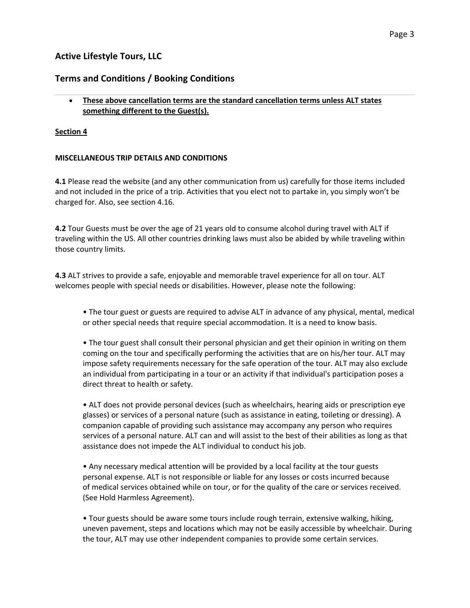# **Terms and Conditions / Booking Conditions**

# • **These above cancellation terms are the standard cancellation terms unless ALT states something different to the Guest(s).**

# **Section 4**

# **MISCELLANEOUS TRIP DETAILS AND CONDITIONS**

**4.1** Please read the website (and any other communication from us) carefully for those items included and not included in the price of a trip. Activities that you elect not to partake in, you simply won't be charged for. Also, see section 4.16.

**4.2** Tour Guests must be over the age of 21 years old to consume alcohol during travel with ALT if traveling within the US. All other countries drinking laws must also be abided by while traveling within those country limits.

**4.3** ALT strives to provide a safe, enjoyable and memorable travel experience for all on tour. ALT welcomes people with special needs or disabilities. However, please note the following:

• The tour guest or guests are required to advise ALT in advance of any physical, mental, medical or other special needs that require special accommodation. It is a need to know basis.

• The tour guest shall consult their personal physician and get their opinion in writing on them coming on the tour and specifically performing the activities that are on his/her tour. ALT may impose safety requirements necessary for the safe operation of the tour. ALT may also exclude an individual from participating in a tour or an activity if that individual's participation poses a direct threat to health or safety.

• ALT does not provide personal devices (such as wheelchairs, hearing aids or prescription eye glasses) or services of a personal nature (such as assistance in eating, toileting or dressing). A companion capable of providing such assistance may accompany any person who requires services of a personal nature. ALT can and will assist to the best of their abilities as long as that assistance does not impede the ALT individual to conduct his job.

• Any necessary medical attention will be provided by a local facility at the tour guests personal expense. ALT is not responsible or liable for any losses or costs incurred because of medical services obtained while on tour, or for the quality of the care or services received. (See Hold Harmless Agreement).

• Tour guests should be aware some tours include rough terrain, extensive walking, hiking, uneven pavement, steps and locations which may not be easily accessible by wheelchair. During the tour, ALT may use other independent companies to provide some certain services.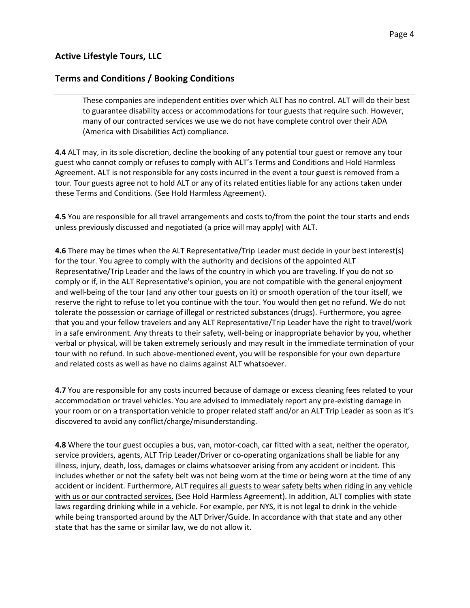# **Terms and Conditions / Booking Conditions**

These companies are independent entities over which ALT has no control. ALT will do their best to guarantee disability access or accommodations for tour guests that require such. However, many of our contracted services we use we do not have complete control over their ADA (America with Disabilities Act) compliance.

**4.4** ALT may, in its sole discretion, decline the booking of any potential tour guest or remove any tour guest who cannot comply or refuses to comply with ALT's Terms and Conditions and Hold Harmless Agreement. ALT is not responsible for any costs incurred in the event a tour guest is removed from a tour. Tour guests agree not to hold ALT or any of its related entities liable for any actions taken under these Terms and Conditions. (See Hold Harmless Agreement).

**4.5** You are responsible for all travel arrangements and costs to/from the point the tour starts and ends unless previously discussed and negotiated (a price will may apply) with ALT.

**4.6** There may be times when the ALT Representative/Trip Leader must decide in your best interest(s) for the tour. You agree to comply with the authority and decisions of the appointed ALT Representative/Trip Leader and the laws of the country in which you are traveling. If you do not so comply or if, in the ALT Representative's opinion, you are not compatible with the general enjoyment and well-being of the tour (and any other tour guests on it) or smooth operation of the tour itself, we reserve the right to refuse to let you continue with the tour. You would then get no refund. We do not tolerate the possession or carriage of illegal or restricted substances (drugs). Furthermore, you agree that you and your fellow travelers and any ALT Representative/Trip Leader have the right to travel/work in a safe environment. Any threats to their safety, well-being or inappropriate behavior by you, whether verbal or physical, will be taken extremely seriously and may result in the immediate termination of your tour with no refund. In such above-mentioned event, you will be responsible for your own departure and related costs as well as have no claims against ALT whatsoever.

**4.7** You are responsible for any costs incurred because of damage or excess cleaning fees related to your accommodation or travel vehicles. You are advised to immediately report any pre-existing damage in your room or on a transportation vehicle to proper related staff and/or an ALT Trip Leader as soon as it's discovered to avoid any conflict/charge/misunderstanding.

**4.8** Where the tour guest occupies a bus, van, motor-coach, car fitted with a seat, neither the operator, service providers, agents, ALT Trip Leader/Driver or co-operating organizations shall be liable for any illness, injury, death, loss, damages or claims whatsoever arising from any accident or incident. This includes whether or not the safety belt was not being worn at the time or being worn at the time of any accident or incident. Furthermore, ALT requires all guests to wear safety belts when riding in any vehicle with us or our contracted services. (See Hold Harmless Agreement). In addition, ALT complies with state laws regarding drinking while in a vehicle. For example, per NYS, it is not legal to drink in the vehicle while being transported around by the ALT Driver/Guide. In accordance with that state and any other state that has the same or similar law, we do not allow it.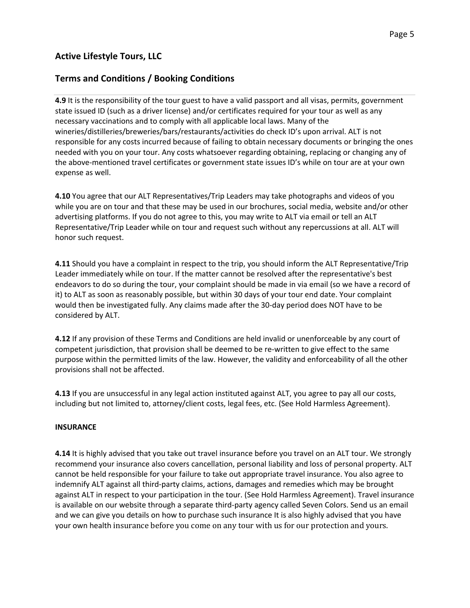# **Terms and Conditions / Booking Conditions**

**4.9** It is the responsibility of the tour guest to have a valid passport and all visas, permits, government state issued ID (such as a driver license) and/or certificates required for your tour as well as any necessary vaccinations and to comply with all applicable local laws. Many of the wineries/distilleries/breweries/bars/restaurants/activities do check ID's upon arrival. ALT is not responsible for any costs incurred because of failing to obtain necessary documents or bringing the ones needed with you on your tour. Any costs whatsoever regarding obtaining, replacing or changing any of the above-mentioned travel certificates or government state issues ID's while on tour are at your own expense as well.

**4.10** You agree that our ALT Representatives/Trip Leaders may take photographs and videos of you while you are on tour and that these may be used in our brochures, social media, website and/or other advertising platforms. If you do not agree to this, you may write to ALT via email or tell an ALT Representative/Trip Leader while on tour and request such without any repercussions at all. ALT will honor such request.

**4.11** Should you have a complaint in respect to the trip, you should inform the ALT Representative/Trip Leader immediately while on tour. If the matter cannot be resolved after the representative's best endeavors to do so during the tour, your complaint should be made in via email (so we have a record of it) to ALT as soon as reasonably possible, but within 30 days of your tour end date. Your complaint would then be investigated fully. Any claims made after the 30-day period does NOT have to be considered by ALT.

**4.12** If any provision of these Terms and Conditions are held invalid or unenforceable by any court of competent jurisdiction, that provision shall be deemed to be re-written to give effect to the same purpose within the permitted limits of the law. However, the validity and enforceability of all the other provisions shall not be affected.

**4.13** If you are unsuccessful in any legal action instituted against ALT, you agree to pay all our costs, including but not limited to, attorney/client costs, legal fees, etc. (See Hold Harmless Agreement).

### **INSURANCE**

**4.14** It is highly advised that you take out travel insurance before you travel on an ALT tour. We strongly recommend your insurance also covers cancellation, personal liability and loss of personal property. ALT cannot be held responsible for your failure to take out appropriate travel insurance. You also agree to indemnify ALT against all third-party claims, actions, damages and remedies which may be brought against ALT in respect to your participation in the tour. (See Hold Harmless Agreement). Travel insurance is available on our website through a separate third-party agency called Seven Colors. Send us an email and we can give you details on how to purchase such insurance It is also highly advised that you have your own health insurance before you come on any tour with us for our protection and yours.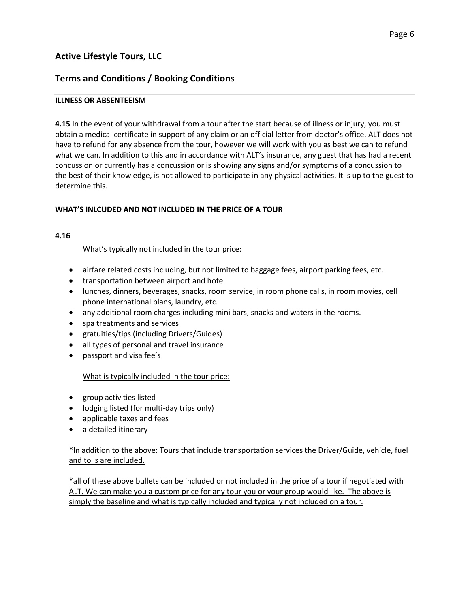# **Terms and Conditions / Booking Conditions**

## **ILLNESS OR ABSENTEEISM**

**4.15** In the event of your withdrawal from a tour after the start because of illness or injury, you must obtain a medical certificate in support of any claim or an official letter from doctor's office. ALT does not have to refund for any absence from the tour, however we will work with you as best we can to refund what we can. In addition to this and in accordance with ALT's insurance, any guest that has had a recent concussion or currently has a concussion or is showing any signs and/or symptoms of a concussion to the best of their knowledge, is not allowed to participate in any physical activities. It is up to the guest to determine this.

## **WHAT'S INLCUDED AND NOT INCLUDED IN THE PRICE OF A TOUR**

### **4.16**

## What's typically not included in the tour price:

- airfare related costs including, but not limited to baggage fees, airport parking fees, etc.
- transportation between airport and hotel
- lunches, dinners, beverages, snacks, room service, in room phone calls, in room movies, cell phone international plans, laundry, etc.
- any additional room charges including mini bars, snacks and waters in the rooms.
- spa treatments and services
- gratuities/tips (including Drivers/Guides)
- all types of personal and travel insurance
- passport and visa fee's

### What is typically included in the tour price:

- group activities listed
- lodging listed (for multi-day trips only)
- applicable taxes and fees
- a detailed itinerary

## \*In addition to the above: Tours that include transportation services the Driver/Guide, vehicle, fuel and tolls are included.

\*all of these above bullets can be included or not included in the price of a tour if negotiated with ALT. We can make you a custom price for any tour you or your group would like. The above is simply the baseline and what is typically included and typically not included on a tour.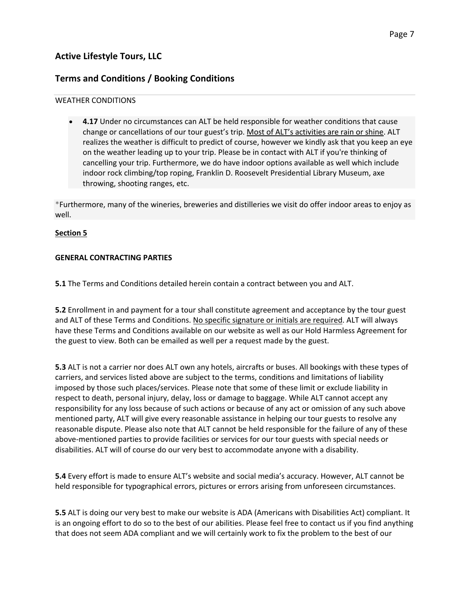# **Terms and Conditions / Booking Conditions**

### WEATHER CONDITIONS

**4.17** Under no circumstances can ALT be held responsible for weather conditions that cause change or cancellations of our tour guest's trip. Most of ALT's activities are rain or shine. ALT realizes the weather is difficult to predict of course, however we kindly ask that you keep an eye on the weather leading up to your trip. Please be in contact with ALT if you're thinking of cancelling your trip. Furthermore, we do have indoor options available as well which include indoor rock climbing/top roping, Franklin D. Roosevelt Presidential Library Museum, axe throwing, shooting ranges, etc.

\*Furthermore, many of the wineries, breweries and distilleries we visit do offer indoor areas to enjoy as well.

# **Section 5**

## **GENERAL CONTRACTING PARTIES**

**5.1** The Terms and Conditions detailed herein contain a contract between you and ALT.

**5.2** Enrollment in and payment for a tour shall constitute agreement and acceptance by the tour guest and ALT of these Terms and Conditions. No specific signature or initials are required. ALT will always have these Terms and Conditions available on our website as well as our Hold Harmless Agreement for the guest to view. Both can be emailed as well per a request made by the guest.

**5.3** ALT is not a carrier nor does ALT own any hotels, aircrafts or buses. All bookings with these types of carriers, and services listed above are subject to the terms, conditions and limitations of liability imposed by those such places/services. Please note that some of these limit or exclude liability in respect to death, personal injury, delay, loss or damage to baggage. While ALT cannot accept any responsibility for any loss because of such actions or because of any act or omission of any such above mentioned party, ALT will give every reasonable assistance in helping our tour guests to resolve any reasonable dispute. Please also note that ALT cannot be held responsible for the failure of any of these above-mentioned parties to provide facilities or services for our tour guests with special needs or disabilities. ALT will of course do our very best to accommodate anyone with a disability.

**5.4** Every effort is made to ensure ALT's website and social media's accuracy. However, ALT cannot be held responsible for typographical errors, pictures or errors arising from unforeseen circumstances.

**5.5** ALT is doing our very best to make our website is ADA (Americans with Disabilities Act) compliant. It is an ongoing effort to do so to the best of our abilities. Please feel free to contact us if you find anything that does not seem ADA compliant and we will certainly work to fix the problem to the best of our